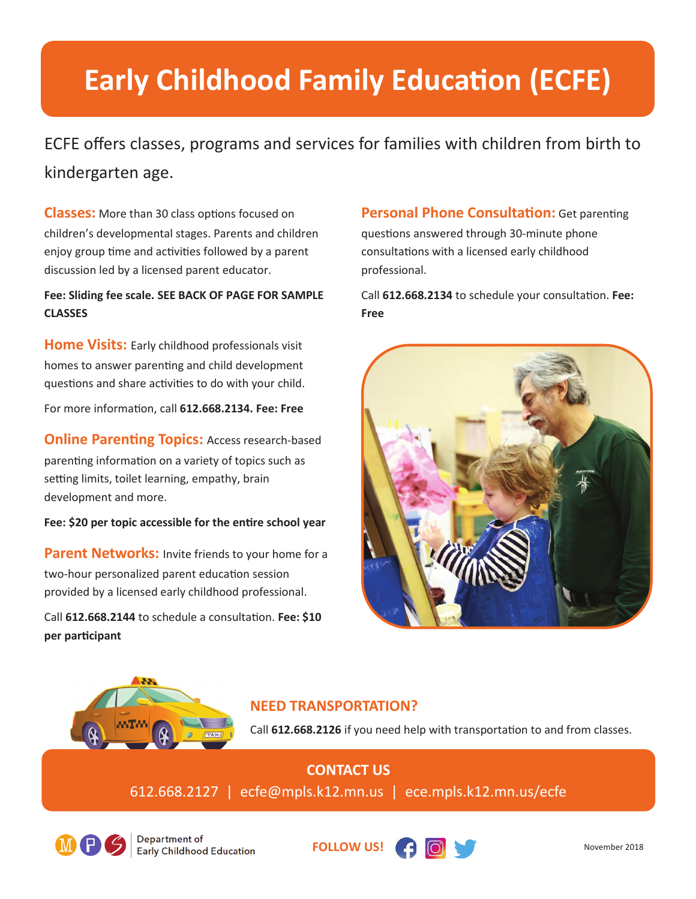# **Early Childhood Family Education (ECFE)**

ECFE offers classes, programs and services for families with children from birth to kindergarten age.

**Classes:** More than 30 class options focused on children's developmental stages. Parents and children enjoy group time and activities followed by a parent discussion led by a licensed parent educator.

#### **Fee: Sliding fee scale. SEE BACK OF PAGE FOR SAMPLE CLASSES**

**Home Visits:** Early childhood professionals visit homes to answer parenting and child development questions and share activities to do with your child.

For more informaƟon, call **612.668.2134. Fee: Free** 

**Online Parenting Topics: Access research-based** parenting information on a variety of topics such as setting limits, toilet learning, empathy, brain development and more.

Fee: \$20 per topic accessible for the entire school year

**Parent Networks:** Invite friends to your home for a two-hour personalized parent education session provided by a licensed early childhood professional.

Call 612.668.2144 to schedule a consultation. Fee: \$10 **per parƟcipant**

#### **Personal Phone Consultation:** Get parenting

questions answered through 30-minute phone consultations with a licensed early childhood professional.

Call 612.668.2134 to schedule your consultation. Fee: **Free**





## **NEED TRANSPORTATION?**

Call 612.668.2126 if you need help with transportation to and from classes.

**CONTACT US** 612.668.2127 | ecfe@mpls.k12.mn.us | ece.mpls.k12.mn.us/ecfe



Department of **Early Childhood Education**